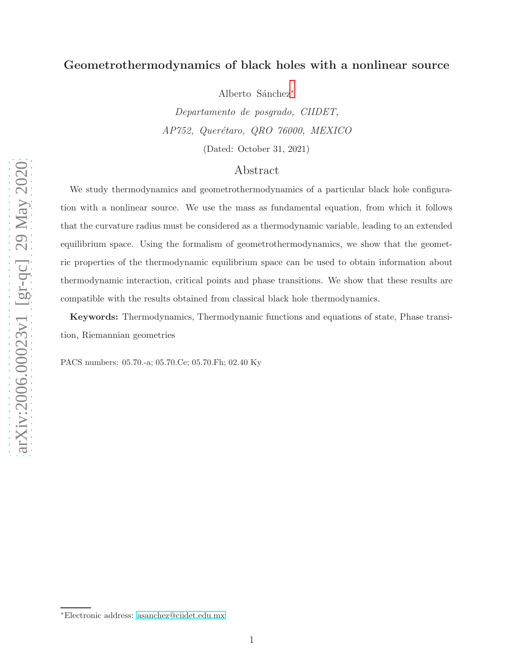## Geometrothermodynamics of black holes with a nonlinear source

Alberto Sánchez<sup>[∗](#page-0-0)</sup>

Departamento de posgrado, CIIDET, AP752, Querétaro, QRO 76000, MEXICO (Dated: October 31, 2021)

### Abstract

We study thermodynamics and geometrothermodynamics of a particular black hole configuration with a nonlinear source. We use the mass as fundamental equation, from which it follows that the curvature radius must be considered as a thermodynamic variable, leading to an extended equilibrium space. Using the formalism of geometrothermodynamics, we show that the geometric properties of the thermodynamic equilibrium space can be used to obtain information about thermodynamic interaction, critical points and phase transitions. We show that these results are compatible with the results obtained from classical black hole thermodynamics.

Keywords: Thermodynamics, Thermodynamic functions and equations of state, Phase transition, Riemannian geometries

PACS numbers: 05.70.-a; 05.70.Ce; 05.70.Fh; 02.40 Ky

<span id="page-0-0"></span><sup>∗</sup>Electronic address: [asanchez@ciidet.edu.mx](mailto:asanchez@ciidet.edu.mx)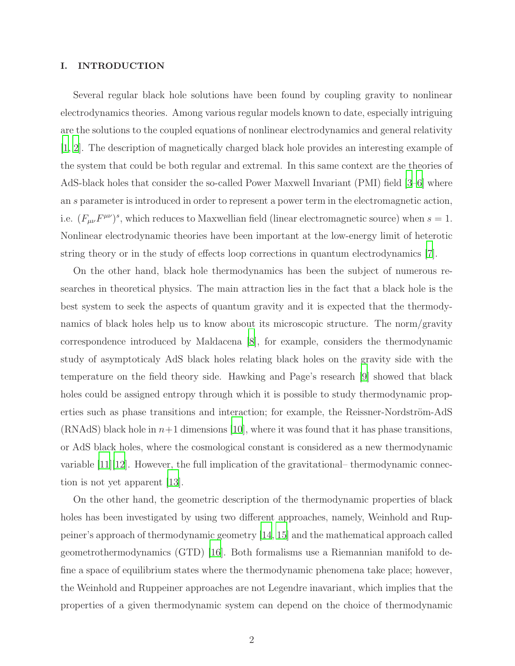### I. INTRODUCTION

Several regular black hole solutions have been found by coupling gravity to nonlinear electrodynamics theories. Among various regular models known to date, especially intriguing are the solutions to the coupled equations of nonlinear electrodynamics and general relativity [\[1](#page-13-0), [2](#page-13-1)]. The description of magnetically charged black hole provides an interesting example of the system that could be both regular and extremal. In this same context are the theories of AdS-black holes that consider the so-called Power Maxwell Invariant (PMI) field [\[3](#page-13-2)[–6\]](#page-13-3) where an s parameter is introduced in order to represent a power term in the electromagnetic action, i.e.  $(F_{\mu\nu}F^{\mu\nu})^s$ , which reduces to Maxwellian field (linear electromagnetic source) when  $s=1$ . Nonlinear electrodynamic theories have been important at the low-energy limit of heterotic string theory or in the study of effects loop corrections in quantum electrodynamics [\[7](#page-13-4)].

On the other hand, black hole thermodynamics has been the subject of numerous researches in theoretical physics. The main attraction lies in the fact that a black hole is the best system to seek the aspects of quantum gravity and it is expected that the thermodynamics of black holes help us to know about its microscopic structure. The norm/gravity correspondence introduced by Maldacena [\[8](#page-13-5)], for example, considers the thermodynamic study of asymptoticaly AdS black holes relating black holes on the gravity side with the temperature on the field theory side. Hawking and Page's research [\[9](#page-13-6)] showed that black holes could be assigned entropy through which it is possible to study thermodynamic properties such as phase transitions and interaction; for example, the Reissner-Nordström-AdS  $(RNAdS)$  black hole in  $n+1$  dimensions [\[10](#page-13-7)], where it was found that it has phase transitions, or AdS black holes, where the cosmological constant is considered as a new thermodynamic variable  $[11][12]$  $[11][12]$ . However, the full implication of the gravitational– thermodynamic connection is not yet apparent [\[13](#page-13-10)].

On the other hand, the geometric description of the thermodynamic properties of black holes has been investigated by using two different approaches, namely, Weinhold and Ruppeiner's approach of thermodynamic geometry [\[14](#page-13-11), [15\]](#page-13-12) and the mathematical approach called geometrothermodynamics (GTD) [\[16](#page-13-13)]. Both formalisms use a Riemannian manifold to define a space of equilibrium states where the thermodynamic phenomena take place; however, the Weinhold and Ruppeiner approaches are not Legendre inavariant, which implies that the properties of a given thermodynamic system can depend on the choice of thermodynamic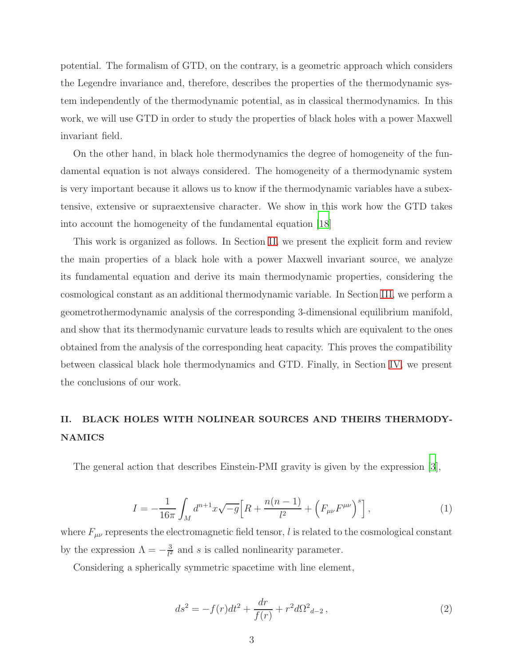potential. The formalism of GTD, on the contrary, is a geometric approach which considers the Legendre invariance and, therefore, describes the properties of the thermodynamic system independently of the thermodynamic potential, as in classical thermodynamics. In this work, we will use GTD in order to study the properties of black holes with a power Maxwell invariant field.

On the other hand, in black hole thermodynamics the degree of homogeneity of the fundamental equation is not always considered. The homogeneity of a thermodynamic system is very important because it allows us to know if the thermodynamic variables have a subextensive, extensive or supraextensive character. We show in this work how the GTD takes into account the homogeneity of the fundamental equation [\[18](#page-13-14)]

This work is organized as follows. In Section [II,](#page-2-0) we present the explicit form and review the main properties of a black hole with a power Maxwell invariant source, we analyze its fundamental equation and derive its main thermodynamic properties, considering the cosmological constant as an additional thermodynamic variable. In Section [III,](#page-8-0) we perform a geometrothermodynamic analysis of the corresponding 3-dimensional equilibrium manifold, and show that its thermodynamic curvature leads to results which are equivalent to the ones obtained from the analysis of the corresponding heat capacity. This proves the compatibility between classical black hole thermodynamics and GTD. Finally, in Section [IV,](#page-12-0) we present the conclusions of our work.

# <span id="page-2-0"></span>II. BLACK HOLES WITH NOLINEAR SOURCES AND THEIRS THERMODY-NAMICS

The general action that describes Einstein-PMI gravity is given by the expression [\[3](#page-13-2)],

<span id="page-2-1"></span>
$$
I = -\frac{1}{16\pi} \int_M d^{n+1}x \sqrt{-g} \Big[ R + \frac{n(n-1)}{l^2} + \left( F_{\mu\nu} F^{\mu\nu} \right)^s \Big],\tag{1}
$$

where  $F_{\mu\nu}$  represents the electromagnetic field tensor, l is related to the cosmological constant by the expression  $\Lambda = -\frac{3}{l^2}$  $\frac{3}{l^2}$  and s is called nonlinearity parameter.

Considering a spherically symmetric spacetime with line element,

$$
ds^{2} = -f(r)dt^{2} + \frac{dr}{f(r)} + r^{2}d\Omega^{2}{}_{d-2},
$$
\n(2)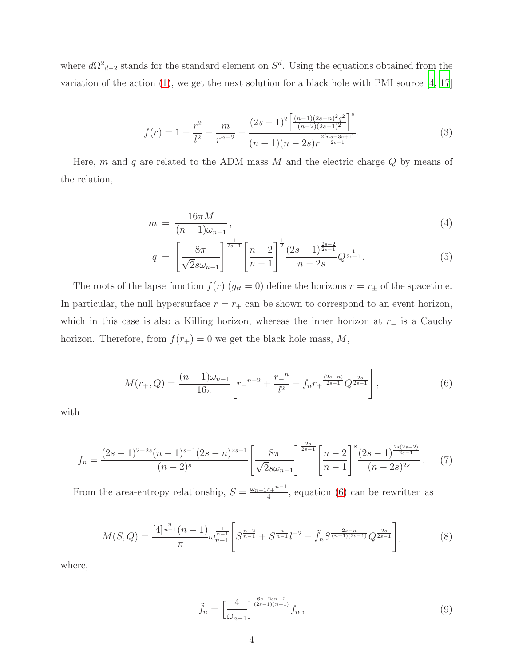where  $d\Omega^2_{d-2}$  stands for the standard element on  $S^d$ . Using the equations obtained from the variation of the action  $(1)$ , we get the next solution for a black hole with PMI source  $[4, 17]$  $[4, 17]$ 

$$
f(r) = 1 + \frac{r^2}{l^2} - \frac{m}{r^{n-2}} + \frac{(2s-1)^2 \left[ \frac{(n-1)(2s-n)^2 q^2}{(n-2)(2s-1)^2} \right]^s}{(n-1)(n-2s)r^{\frac{2(ns-3s+1)}{2s-1}}}.
$$
(3)

Here, m and q are related to the ADM mass  $M$  and the electric charge  $Q$  by means of the relation,

$$
m = \frac{16\pi M}{(n-1)\omega_{n-1}},\tag{4}
$$

$$
q = \left[\frac{8\pi}{\sqrt{2}s\omega_{n-1}}\right]^{\frac{1}{2s-1}} \left[\frac{n-2}{n-1}\right]^{\frac{1}{2}} \frac{(2s-1)^{\frac{2s-2}{2s-1}}}{n-2s} Q^{\frac{1}{2s-1}}.
$$
 (5)

The roots of the lapse function  $f(r)$   $(g_{tt} = 0)$  define the horizons  $r = r_{\pm}$  of the spacetime. In particular, the null hypersurface  $r = r_+$  can be shown to correspond to an event horizon, which in this case is also a Killing horizon, whereas the inner horizon at  $r_-\$  is a Cauchy horizon. Therefore, from  $f(r_{+}) = 0$  we get the black hole mass, M,

<span id="page-3-0"></span>
$$
M(r_{+}, Q) = \frac{(n-1)\omega_{n-1}}{16\pi} \left[ r_{+}^{n-2} + \frac{r_{+}^{n}}{l^{2}} - f_{n} r_{+}^{\frac{(2s-n)}{2s-1}} Q^{\frac{2s}{2s-1}} \right],
$$
\n(6)

with

$$
f_n = \frac{(2s-1)^{2-2s}(n-1)^{s-1}(2s-n)^{2s-1}}{(n-2)^s} \left[\frac{8\pi}{\sqrt{2}s\omega_{n-1}}\right]^{\frac{2s}{2s-1}} \left[\frac{n-2}{n-1}\right]^s \frac{(2s-1)^{\frac{2s(2s-2)}{2s-1}}}{(n-2s)^{2s}}.
$$
 (7)

From the area-entropy relationship,  $S = \frac{\omega_{n-1}r_+^{n-1}}{4}$  $\frac{r_+ - r_+}{4}$ , equation [\(6\)](#page-3-0) can be rewritten as

<span id="page-3-1"></span>
$$
M(S,Q) = \frac{[4]^{\frac{n}{n-1}}(n-1)}{\pi} \omega_{n-1}^{\frac{1}{n-1}} \left[ S^{\frac{n-2}{n-1}} + S^{\frac{n}{n-1}} l^{-2} - \tilde{f}_n S^{\frac{2s-n}{(n-1)(2s-1)}} Q^{\frac{2s}{2s-1}} \right],\tag{8}
$$

where,

$$
\tilde{f}_n = \left[\frac{4}{\omega_{n-1}}\right]^{\frac{6s-2sn-2}{(2s-1)(n-1)}} f_n,
$$
\n(9)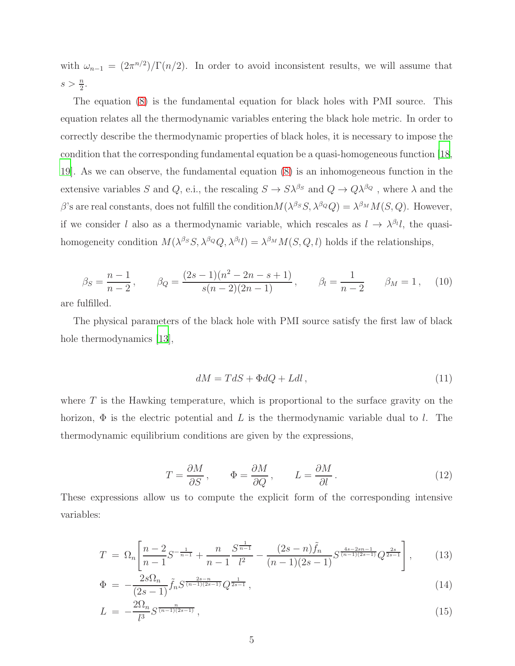with  $\omega_{n-1} = (2\pi^{n/2})/\Gamma(n/2)$ . In order to avoid inconsistent results, we will assume that  $s > \frac{n}{2}$ .

The equation [\(8\)](#page-3-1) is the fundamental equation for black holes with PMI source. This equation relates all the thermodynamic variables entering the black hole metric. In order to correctly describe the thermodynamic properties of black holes, it is necessary to impose the condition that the corresponding fundamental equation be a quasi-homogeneous function [\[18,](#page-13-14) [19\]](#page-13-17). As we can observe, the fundamental equation [\(8\)](#page-3-1) is an inhomogeneous function in the extensive variables S and Q, e.i., the rescaling  $S \to S\lambda^{\beta_S}$  and  $Q \to Q\lambda^{\beta_Q}$ , where  $\lambda$  and the β's are real constants, does not fulfill the condition  $M(\lambda^{\beta_S}S, \lambda^{\beta_Q}Q) = \lambda^{\beta_M}M(S, Q)$ . However, if we consider l also as a thermodynamic variable, which rescales as  $l \to \lambda^{\beta_l} l$ , the quasihomogeneity condition  $M(\lambda^{\beta_S}S, \lambda^{\beta_Q}Q, \lambda^{\beta_I}I) = \lambda^{\beta_M}M(S, Q, I)$  holds if the relationships,

$$
\beta_S = \frac{n-1}{n-2}, \qquad \beta_Q = \frac{(2s-1)(n^2 - 2n - s + 1)}{s(n-2)(2n-1)}, \qquad \beta_l = \frac{1}{n-2} \qquad \beta_M = 1, \quad (10)
$$

are fulfilled.

The physical parameters of the black hole with PMI source satisfy the first law of black hole thermodynamics [\[13](#page-13-10)],

$$
dM = TdS + \Phi dQ + Ldl, \qquad (11)
$$

where  $T$  is the Hawking temperature, which is proportional to the surface gravity on the horizon,  $\Phi$  is the electric potential and L is the thermodynamic variable dual to l. The thermodynamic equilibrium conditions are given by the expressions,

$$
T = \frac{\partial M}{\partial S}, \qquad \Phi = \frac{\partial M}{\partial Q}, \qquad L = \frac{\partial M}{\partial l}.
$$
 (12)

These expressions allow us to compute the explicit form of the corresponding intensive variables:

<span id="page-4-0"></span>
$$
T = \Omega_n \left[ \frac{n-2}{n-1} S^{-\frac{1}{n-1}} + \frac{n}{n-1} \frac{S^{\frac{1}{n-1}}}{l^2} - \frac{(2s-n)\tilde{f}_n}{(n-1)(2s-1)} S^{\frac{4s-2sn-1}{(n-1)(2s-1)}} Q^{\frac{2s}{2s-1}} \right],
$$
(13)

$$
\Phi = -\frac{2s\Omega_n}{(2s-1)}\tilde{f}_n S^{\frac{2s-n}{(n-1)(2s-1)}} Q^{\frac{1}{2s-1}},\tag{14}
$$

$$
L = -\frac{2\Omega_n}{l^3} S^{\frac{n}{(n-1)(2s-1)}},\tag{15}
$$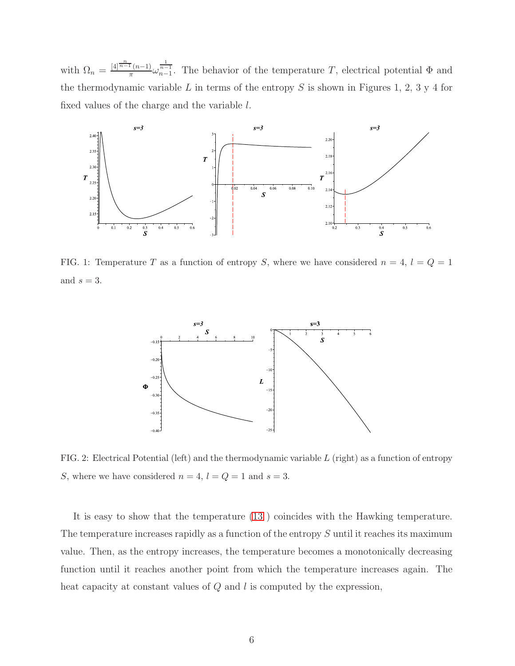with  $\Omega_n = \frac{[4]^\frac{n}{n-1}(n-1)}{\pi}$  $\frac{\pi(n-1)}{\pi} \omega_{n-1}^{\frac{1}{n-1}}$ . The behavior of the temperature T, electrical potential  $\Phi$  and the thermodynamic variable  $L$  in terms of the entropy  $S$  is shown in Figures 1, 2, 3 y 4 for fixed values of the charge and the variable l.



FIG. 1: Temperature T as a function of entropy S, where we have considered  $n = 4$ ,  $l = Q = 1$ and  $s = 3$ .



FIG. 2: Electrical Potential (left) and the thermodynamic variable  $L$  (right) as a function of entropy S, where we have considered  $n = 4$ ,  $l = Q = 1$  and  $s = 3$ .

It is easy to show that the temperature [\(13](#page-4-0) ) coincides with the Hawking temperature. The temperature increases rapidly as a function of the entropy S until it reaches its maximum value. Then, as the entropy increases, the temperature becomes a monotonically decreasing function until it reaches another point from which the temperature increases again. The heat capacity at constant values of  $Q$  and  $l$  is computed by the expression,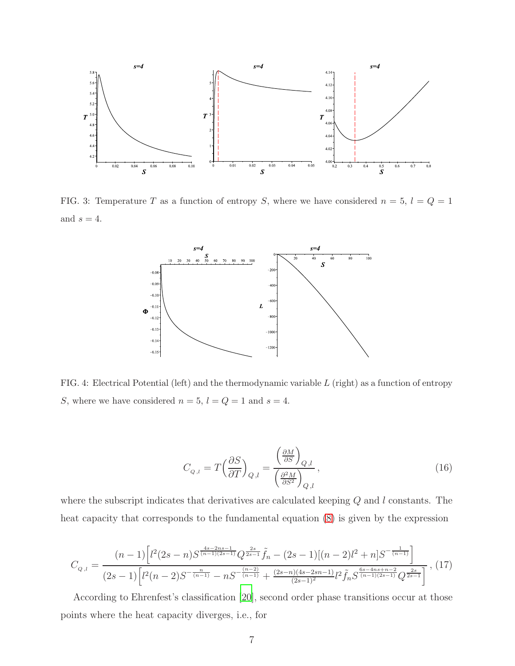

FIG. 3: Temperature T as a function of entropy S, where we have considered  $n = 5$ ,  $l = Q = 1$ and  $s = 4$ .



FIG. 4: Electrical Potential (left) and the thermodynamic variable L (right) as a function of entropy S, where we have considered  $n = 5$ ,  $l = Q = 1$  and  $s = 4$ .

$$
C_{Q,l} = T \left(\frac{\partial S}{\partial T}\right)_{Q,l} = \frac{\left(\frac{\partial M}{\partial S}\right)_{Q,l}}{\left(\frac{\partial^2 M}{\partial S^2}\right)_{Q,l}},\tag{16}
$$

where the subscript indicates that derivatives are calculated keeping  $Q$  and  $l$  constants. The heat capacity that corresponds to the fundamental equation [\(8\)](#page-3-1) is given by the expression

$$
C_{Q,l} = \frac{(n-1)\left[l^2(2s-n)S^{\frac{4s-2ns-1}{(n-1)(2s-1)}}Q^{\frac{2s}{2s-1}}\tilde{f}_n - (2s-1)[(n-2)l^2+n]S^{-\frac{1}{(n-1)}}\right]}{(2s-1)\left[l^2(n-2)S^{-\frac{n}{(n-1)}}-nS^{-\frac{(n-2)}{(n-1)}}+\frac{(2s-n)(4s-2sn-1)}{(2s-1)^2}l^2\tilde{f}_nS^{\frac{6s-4ns+n-2}{(n-1)(2s-1)}}Q^{\frac{2s}{2s-1}}\right]},
$$
(17)

According to Ehrenfest's classification [\[20](#page-13-18)], second order phase transitions occur at those points where the heat capacity diverges, i.e., for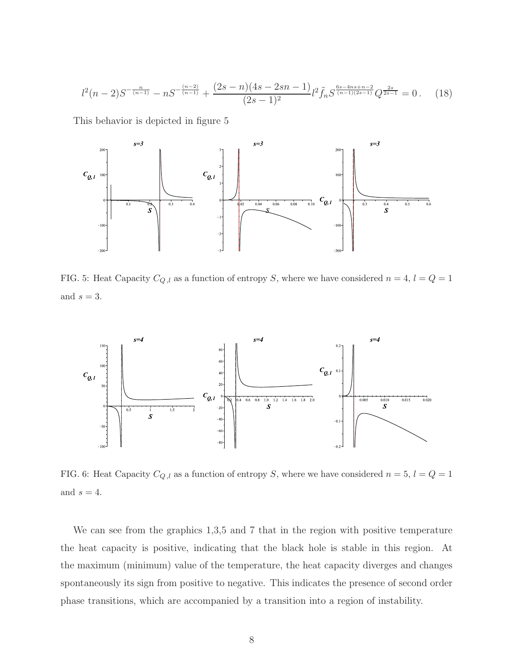$$
l^{2}(n-2)S^{-\frac{n}{(n-1)}} - nS^{-\frac{(n-2)}{(n-1)}} + \frac{(2s-n)(4s-2sn-1)}{(2s-1)^{2}}l^{2}\tilde{f}_{n}S^{\frac{6s-4ns+n-2}{(n-1)(2s-1)}}Q^{\frac{2s}{2s-1}} = 0.
$$
 (18)

This behavior is depicted in figure 5



FIG. 5: Heat Capacity  $C_{Q,l}$  as a function of entropy S, where we have considered  $n = 4$ ,  $l = Q = 1$ and  $s = 3$ .



FIG. 6: Heat Capacity  $C_{Q,l}$  as a function of entropy S, where we have considered  $n = 5$ ,  $l = Q = 1$ and  $s = 4$ .

We can see from the graphics 1,3,5 and 7 that in the region with positive temperature the heat capacity is positive, indicating that the black hole is stable in this region. At the maximum (minimum) value of the temperature, the heat capacity diverges and changes spontaneously its sign from positive to negative. This indicates the presence of second order phase transitions, which are accompanied by a transition into a region of instability.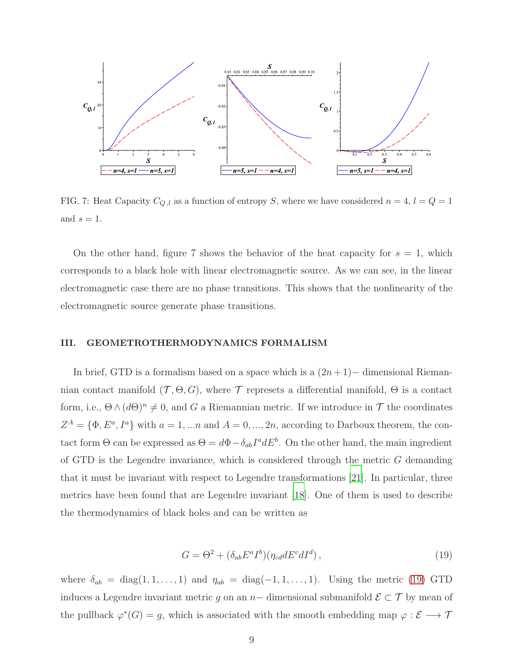

FIG. 7: Heat Capacity  $C_{Q,l}$  as a function of entropy S, where we have considered  $n = 4$ ,  $l = Q = 1$ and  $s = 1$ .

On the other hand, figure 7 shows the behavior of the heat capacity for  $s = 1$ , which corresponds to a black hole with linear electromagnetic source. As we can see, in the linear electromagnetic case there are no phase transitions. This shows that the nonlinearity of the electromagnetic source generate phase transitions.

### <span id="page-8-0"></span>III. GEOMETROTHERMODYNAMICS FORMALISM

In brief, GTD is a formalism based on a space which is a  $(2n + 1)$  – dimensional Riemannian contact manifold  $(\mathcal{T}, \Theta, G)$ , where  $\mathcal T$  represets a differential manifold,  $\Theta$  is a contact form, i.e.,  $\Theta \wedge (d\Theta)^n \neq 0$ , and G a Riemannian metric. If we introduce in T the coordinates  $Z^A = \{ \Phi, E^a, I^a \}$  with  $a = 1, ...n$  and  $A = 0, ..., 2n$ , according to Darboux theorem, the contact form  $\Theta$  can be expressed as  $\Theta = d\Phi - \delta_{ab}I^a dE^b$ . On the other hand, the main ingredient of GTD is the Legendre invariance, which is considered through the metric  $G$  demanding that it must be invariant with respect to Legendre transformations [\[21\]](#page-13-19). In particular, three metrics have been found that are Legendre invariant [\[18\]](#page-13-14). One of them is used to describe the thermodynamics of black holes and can be written as

<span id="page-8-1"></span>
$$
G = \Theta^2 + (\delta_{ab} E^a I^b)(\eta_{cd} dE^c dI^d), \qquad (19)
$$

where  $\delta_{ab} = \text{diag}(1, 1, \ldots, 1)$  and  $\eta_{ab} = \text{diag}(-1, 1, \ldots, 1)$ . Using the metric [\(19\)](#page-8-1) GTD induces a Legendre invariant metric g on an  $n-$  dimensional submanifold  $\mathcal{E} \subset \mathcal{T}$  by mean of the pullback  $\varphi^*(G) = g$ , which is associated with the smooth embedding map  $\varphi : \mathcal{E} \longrightarrow \mathcal{T}$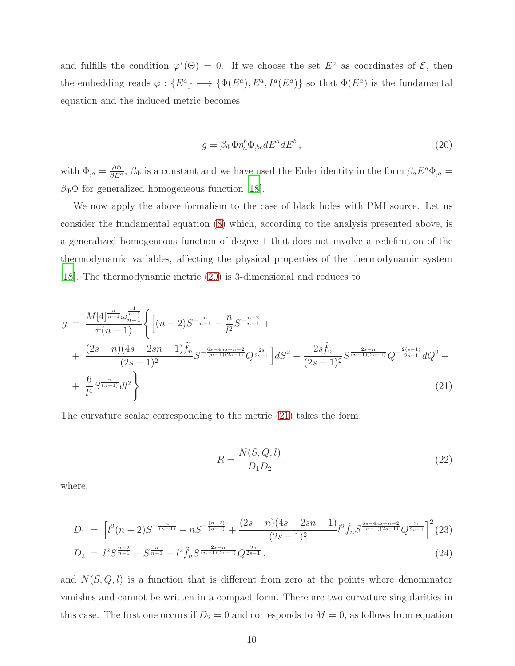and fulfills the condition  $\varphi^*(\Theta) = 0$ . If we choose the set  $E^a$  as coordinates of  $\mathcal{E}$ , then the embedding reads  $\varphi: \{E^a\} \longrightarrow \{\Phi(E^a), E^a, I^a(E^a)\}\$ so that  $\Phi(E^a)$  is the fundamental equation and the induced metric becomes

<span id="page-9-0"></span>
$$
g = \beta_{\Phi} \Phi \eta_a^b \Phi_{,bc} dE^a dE^b \,, \tag{20}
$$

with  $\Phi_{,a} = \frac{\partial \Phi}{\partial E^a}$ ,  $\beta_{\Phi}$  is a constant and we have used the Euler identity in the form  $\beta_a E^a \Phi_{,a} =$  $\beta_{\Phi} \Phi$  for generalized homogeneous function [\[18](#page-13-14)].

We now apply the above formalism to the case of black holes with PMI source. Let us consider the fundamental equation [\(8\)](#page-3-1) which, according to the analysis presented above, is a generalized homogeneous function of degree 1 that does not involve a redefinition of the thermodynamic variables, affecting the physical properties of the thermodynamic system [\[18](#page-13-14)]. The thermodynamic metric [\(20\)](#page-9-0) is 3-dimensional and reduces to

<span id="page-9-1"></span>
$$
g = \frac{M[4]^{\frac{n}{n-1}} \omega_{n-1}^{\frac{1}{n-1}}}{\pi(n-1)} \left\{ \left[ (n-2)S^{-\frac{n}{n-1}} - \frac{n}{l^2} S^{-\frac{n-2}{n-1}} + \frac{(2s-n)(4s-2sn-1)\tilde{f}_n}{(2s-1)^2} S^{-\frac{6s-4ns-n-2}{(n-1)(2s-1)}} Q^{\frac{2s}{2s-1}} \right] dS^2 - \frac{2s\tilde{f}_n}{(2s-1)^2} S^{\frac{2s-n}{(n-1)(2s-1)}} Q^{-\frac{2(s-1)}{2s-1}} dQ^2 + \frac{6}{l^4} S^{\frac{n}{(n-1)}} d l^2 \right\}.
$$
\n
$$
(21)
$$

The curvature scalar corresponding to the metric [\(21\)](#page-9-1) takes the form,

$$
R = \frac{N(S, Q, l)}{D_1 D_2},\tag{22}
$$

where,

$$
D_1 = \left[ l^2(n-2)S^{-\frac{n}{(n-1)}} - nS^{-\frac{(n-2)}{(n-1)}} + \frac{(2s-n)(4s-2sn-1)}{(2s-1)^2} l^2 \tilde{f}_n S^{\frac{6s-4ns+n-2}{(n-1)(2s-1)}} Q^{\frac{2s}{2s-1}} \right]^2 (23)
$$
  
\n
$$
D_2 = l^2 S^{\frac{n-2}{n-1}} + S^{\frac{n}{n-1}} - l^2 \tilde{f}_n S^{\frac{2s-n}{(n-1)(2s-1)}} Q^{\frac{2s}{2s-1}},
$$
\n(24)

and  $N(S, Q, l)$  is a function that is different from zero at the points where denominator vanishes and cannot be written in a compact form. There are two curvature singularities in this case. The first one occurs if  $D_2 = 0$  and corresponds to  $M = 0$ , as follows from equation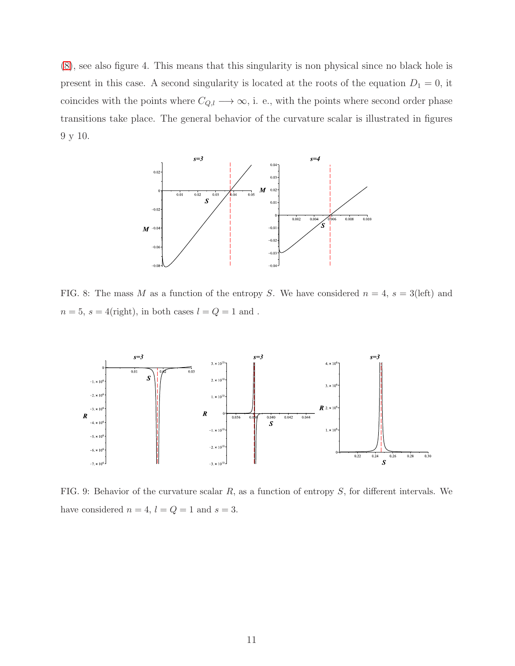[\(8\)](#page-3-1), see also figure 4. This means that this singularity is non physical since no black hole is present in this case. A second singularity is located at the roots of the equation  $D_1 = 0$ , it coincides with the points where  $C_{Q,l} \longrightarrow \infty$ , i. e., with the points where second order phase transitions take place. The general behavior of the curvature scalar is illustrated in figures 9 y 10.



FIG. 8: The mass M as a function of the entropy S. We have considered  $n = 4$ ,  $s = 3$ (left) and  $n=5,\,s=4\text{(right)},$  in both cases  $l=Q=1$  and .



FIG. 9: Behavior of the curvature scalar  $R$ , as a function of entropy  $S$ , for different intervals. We have considered  $n = 4$ ,  $l = Q = 1$  and  $s = 3$ .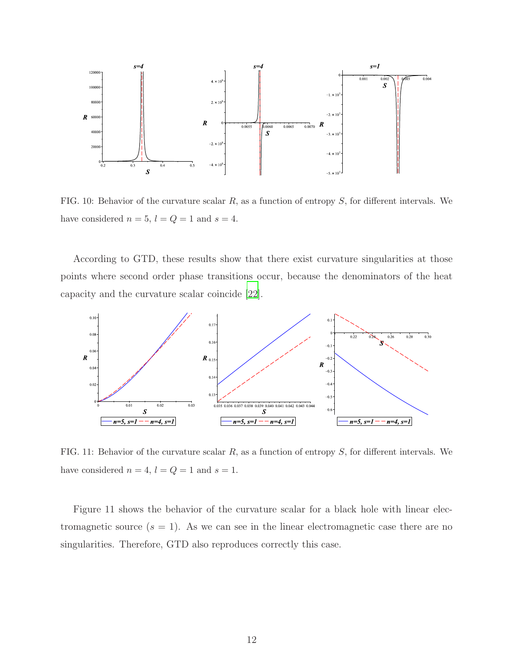

FIG. 10: Behavior of the curvature scalar  $R$ , as a function of entropy  $S$ , for different intervals. We have considered  $n = 5$ ,  $l = Q = 1$  and  $s = 4$ .

According to GTD, these results show that there exist curvature singularities at those points where second order phase transitions occur, because the denominators of the heat capacity and the curvature scalar coincide [\[22\]](#page-13-20).



FIG. 11: Behavior of the curvature scalar  $R$ , as a function of entropy  $S$ , for different intervals. We have considered  $n = 4$ ,  $l = Q = 1$  and  $s = 1$ .

Figure 11 shows the behavior of the curvature scalar for a black hole with linear electromagnetic source  $(s = 1)$ . As we can see in the linear electromagnetic case there are no singularities. Therefore, GTD also reproduces correctly this case.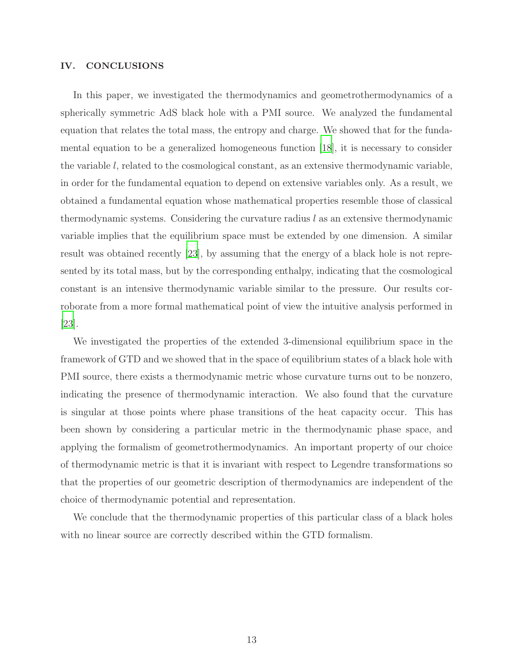### <span id="page-12-0"></span>IV. CONCLUSIONS

In this paper, we investigated the thermodynamics and geometrothermodynamics of a spherically symmetric AdS black hole with a PMI source. We analyzed the fundamental equation that relates the total mass, the entropy and charge. We showed that for the fundamental equation to be a generalized homogeneous function [\[18\]](#page-13-14), it is necessary to consider the variable l, related to the cosmological constant, as an extensive thermodynamic variable, in order for the fundamental equation to depend on extensive variables only. As a result, we obtained a fundamental equation whose mathematical properties resemble those of classical thermodynamic systems. Considering the curvature radius  $l$  as an extensive thermodynamic variable implies that the equilibrium space must be extended by one dimension. A similar result was obtained recently [\[23\]](#page-13-21), by assuming that the energy of a black hole is not represented by its total mass, but by the corresponding enthalpy, indicating that the cosmological constant is an intensive thermodynamic variable similar to the pressure. Our results corroborate from a more formal mathematical point of view the intuitive analysis performed in [\[23\]](#page-13-21).

We investigated the properties of the extended 3-dimensional equilibrium space in the framework of GTD and we showed that in the space of equilibrium states of a black hole with PMI source, there exists a thermodynamic metric whose curvature turns out to be nonzero, indicating the presence of thermodynamic interaction. We also found that the curvature is singular at those points where phase transitions of the heat capacity occur. This has been shown by considering a particular metric in the thermodynamic phase space, and applying the formalism of geometrothermodynamics. An important property of our choice of thermodynamic metric is that it is invariant with respect to Legendre transformations so that the properties of our geometric description of thermodynamics are independent of the choice of thermodynamic potential and representation.

We conclude that the thermodynamic properties of this particular class of a black holes with no linear source are correctly described within the GTD formalism.